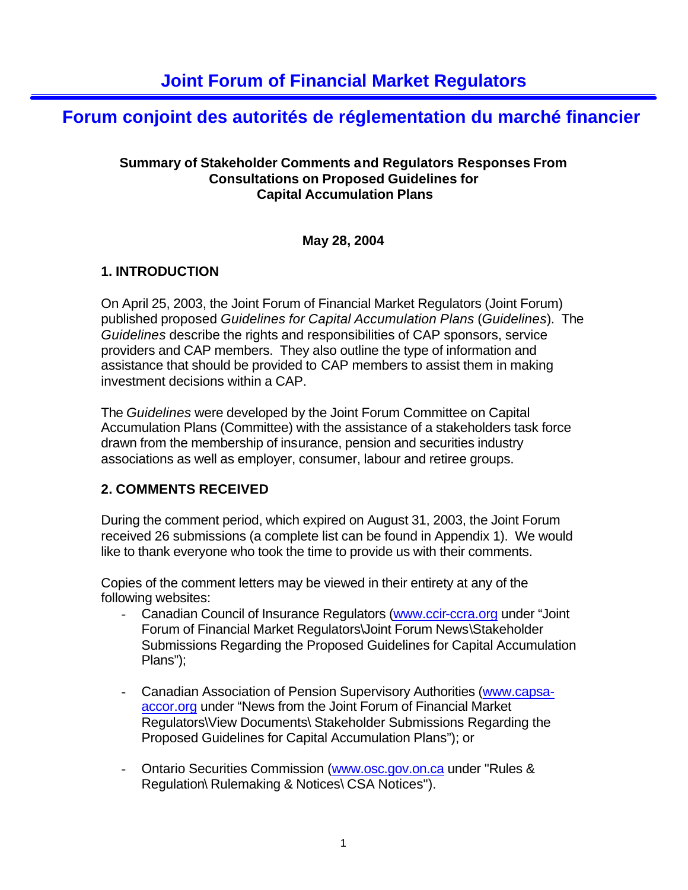#### **Summary of Stakeholder Comments and Regulators Responses From Consultations on Proposed Guidelines for Capital Accumulation Plans**

#### **May 28, 2004**

#### **1. INTRODUCTION**

On April 25, 2003, the Joint Forum of Financial Market Regulators (Joint Forum) published proposed *Guidelines for Capital Accumulation Plans* (*Guidelines*). The *Guidelines* describe the rights and responsibilities of CAP sponsors, service providers and CAP members. They also outline the type of information and assistance that should be provided to CAP members to assist them in making investment decisions within a CAP.

The *Guidelines* were developed by the Joint Forum Committee on Capital Accumulation Plans (Committee) with the assistance of a stakeholders task force drawn from the membership of insurance, pension and securities industry associations as well as employer, consumer, labour and retiree groups.

#### **2. COMMENTS RECEIVED**

During the comment period, which expired on August 31, 2003, the Joint Forum received 26 submissions (a complete list can be found in Appendix 1). We would like to thank everyone who took the time to provide us with their comments.

Copies of the comment letters may be viewed in their entirety at any of the following websites:

- Canadian Council of Insurance Regulators (www.ccir-ccra.org under "Joint Forum of Financial Market Regulators\Joint Forum News\Stakeholder Submissions Regarding the Proposed Guidelines for Capital Accumulation Plans");
- Canadian Association of Pension Supervisory Authorities (www.capsaaccor.org under "News from the Joint Forum of Financial Market Regulators\View Documents\ Stakeholder Submissions Regarding the Proposed Guidelines for Capital Accumulation Plans"); or
- Ontario Securities Commission (www.osc.gov.on.ca under "Rules & Regulation\ Rulemaking & Notices\ CSA Notices").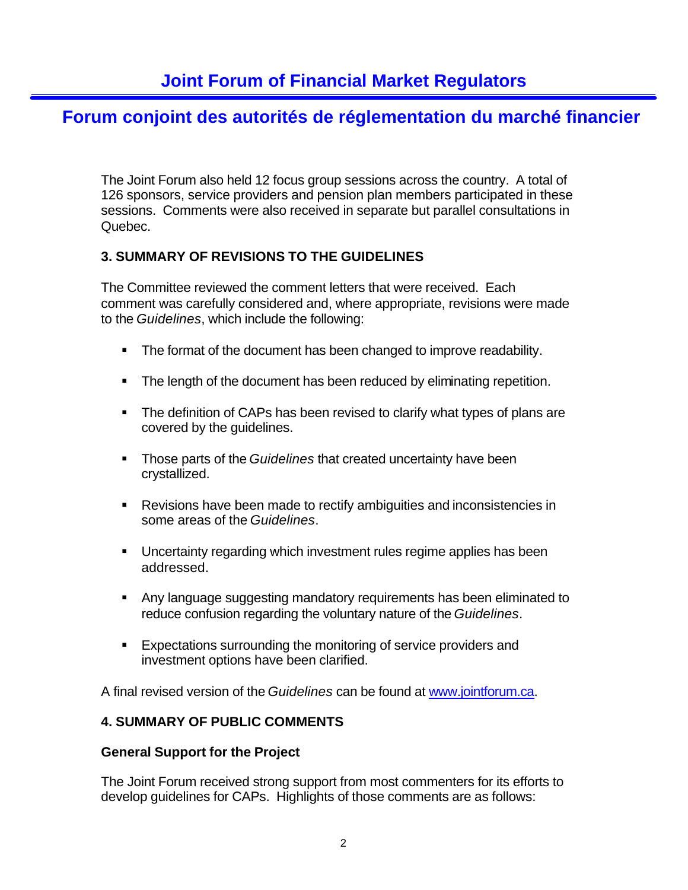The Joint Forum also held 12 focus group sessions across the country. A total of 126 sponsors, service providers and pension plan members participated in these sessions. Comments were also received in separate but parallel consultations in Quebec.

#### **3. SUMMARY OF REVISIONS TO THE GUIDELINES**

The Committee reviewed the comment letters that were received. Each comment was carefully considered and, where appropriate, revisions were made to the *Guidelines*, which include the following:

- The format of the document has been changed to improve readability.
- The length of the document has been reduced by eliminating repetition.
- The definition of CAPs has been revised to clarify what types of plans are covered by the guidelines.
- **Those parts of the** *Guidelines* that created uncertainty have been crystallized.
- Revisions have been made to rectify ambiguities and inconsistencies in some areas of the *Guidelines*.
- **Uncertainty regarding which investment rules regime applies has been** addressed.
- Any language suggesting mandatory requirements has been eliminated to reduce confusion regarding the voluntary nature of the *Guidelines*.
- **Expectations surrounding the monitoring of service providers and** investment options have been clarified.

A final revised version of the *Guidelines* can be found at www.jointforum.ca.

#### **4. SUMMARY OF PUBLIC COMMENTS**

#### **General Support for the Project**

The Joint Forum received strong support from most commenters for its efforts to develop guidelines for CAPs. Highlights of those comments are as follows: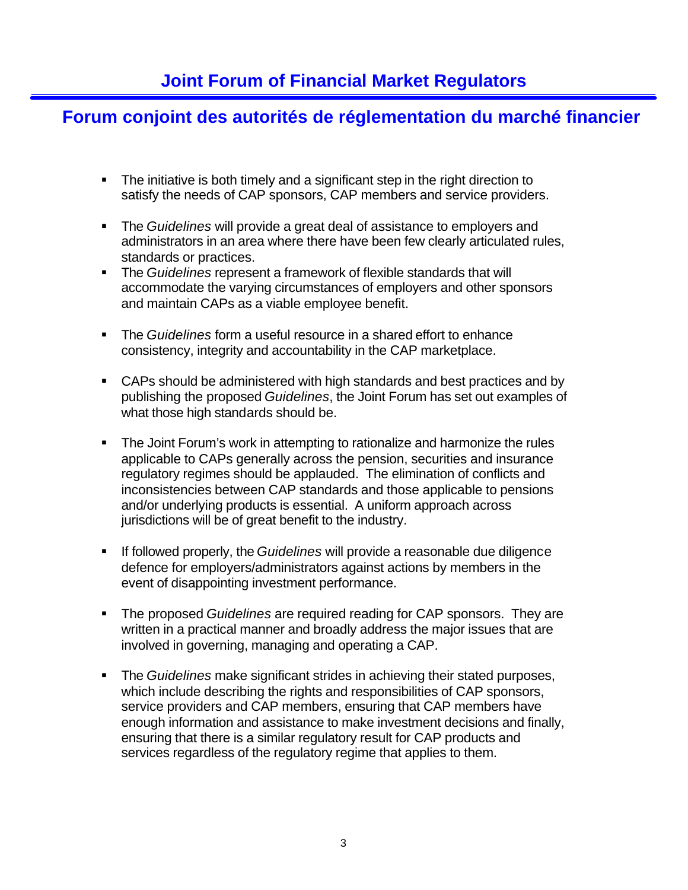- The initiative is both timely and a significant step in the right direction to satisfy the needs of CAP sponsors, CAP members and service providers.
- **The** *Guidelines* will provide a great deal of assistance to employers and administrators in an area where there have been few clearly articulated rules, standards or practices.
- ß The *Guidelines* represent a framework of flexible standards that will accommodate the varying circumstances of employers and other sponsors and maintain CAPs as a viable employee benefit.
- **The** *Guidelines* form a useful resource in a shared effort to enhance consistency, integrity and accountability in the CAP marketplace.
- ß CAPs should be administered with high standards and best practices and by publishing the proposed *Guidelines*, the Joint Forum has set out examples of what those high standards should be.
- The Joint Forum's work in attempting to rationalize and harmonize the rules applicable to CAPs generally across the pension, securities and insurance regulatory regimes should be applauded. The elimination of conflicts and inconsistencies between CAP standards and those applicable to pensions and/or underlying products is essential. A uniform approach across jurisdictions will be of great benefit to the industry.
- ß If followed properly, the *Guidelines* will provide a reasonable due diligence defence for employers/administrators against actions by members in the event of disappointing investment performance.
- ß The proposed *Guidelines* are required reading for CAP sponsors. They are written in a practical manner and broadly address the major issues that are involved in governing, managing and operating a CAP.
- ß The *Guidelines* make significant strides in achieving their stated purposes, which include describing the rights and responsibilities of CAP sponsors, service providers and CAP members, ensuring that CAP members have enough information and assistance to make investment decisions and finally, ensuring that there is a similar regulatory result for CAP products and services regardless of the regulatory regime that applies to them.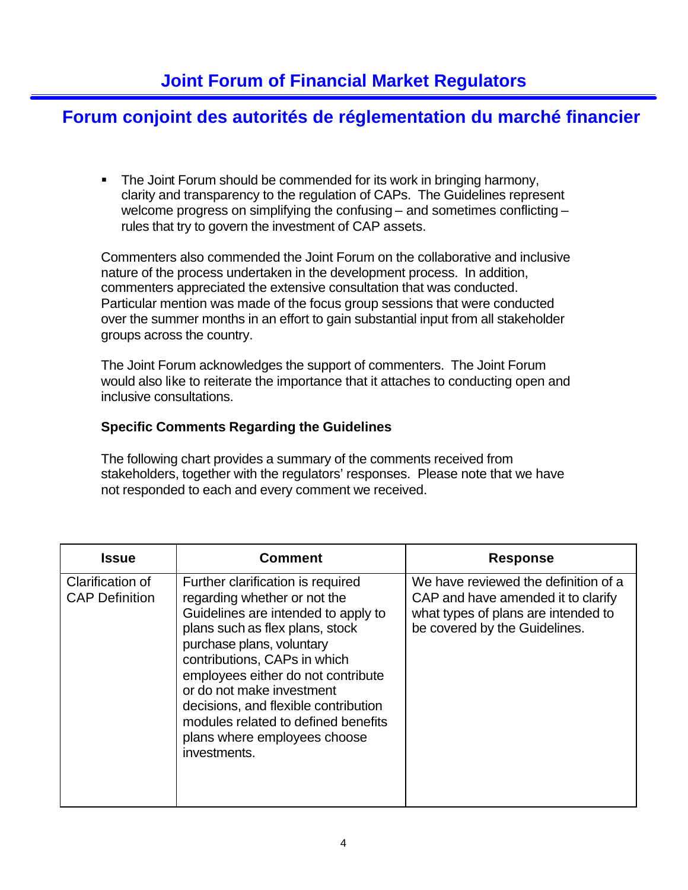• The Joint Forum should be commended for its work in bringing harmony, clarity and transparency to the regulation of CAPs. The Guidelines represent welcome progress on simplifying the confusing – and sometimes conflicting – rules that try to govern the investment of CAP assets.

Commenters also commended the Joint Forum on the collaborative and inclusive nature of the process undertaken in the development process. In addition, commenters appreciated the extensive consultation that was conducted. Particular mention was made of the focus group sessions that were conducted over the summer months in an effort to gain substantial input from all stakeholder groups across the country.

The Joint Forum acknowledges the support of commenters. The Joint Forum would also like to reiterate the importance that it attaches to conducting open and inclusive consultations.

#### **Specific Comments Regarding the Guidelines**

The following chart provides a summary of the comments received from stakeholders, together with the regulators' responses. Please note that we have not responded to each and every comment we received.

| <b>Issue</b>                              | Comment                                                                                                                                                                                                                                                                                                                                                                                                    | <b>Response</b>                                                                                                                                    |
|-------------------------------------------|------------------------------------------------------------------------------------------------------------------------------------------------------------------------------------------------------------------------------------------------------------------------------------------------------------------------------------------------------------------------------------------------------------|----------------------------------------------------------------------------------------------------------------------------------------------------|
| Clarification of<br><b>CAP Definition</b> | Further clarification is required<br>regarding whether or not the<br>Guidelines are intended to apply to<br>plans such as flex plans, stock<br>purchase plans, voluntary<br>contributions, CAPs in which<br>employees either do not contribute<br>or do not make investment<br>decisions, and flexible contribution<br>modules related to defined benefits<br>plans where employees choose<br>investments. | We have reviewed the definition of a<br>CAP and have amended it to clarify<br>what types of plans are intended to<br>be covered by the Guidelines. |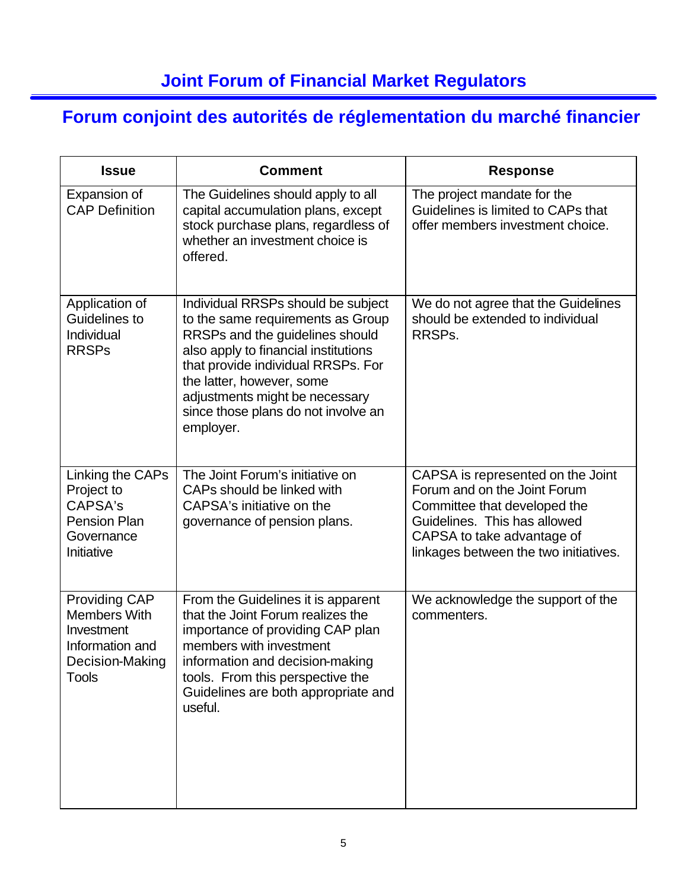| <b>Issue</b>                                                                                             | <b>Comment</b>                                                                                                                                                                                                                                                                                              | <b>Response</b>                                                                                                                                                                                          |
|----------------------------------------------------------------------------------------------------------|-------------------------------------------------------------------------------------------------------------------------------------------------------------------------------------------------------------------------------------------------------------------------------------------------------------|----------------------------------------------------------------------------------------------------------------------------------------------------------------------------------------------------------|
| Expansion of<br><b>CAP Definition</b>                                                                    | The Guidelines should apply to all<br>capital accumulation plans, except<br>stock purchase plans, regardless of<br>whether an investment choice is<br>offered.                                                                                                                                              | The project mandate for the<br>Guidelines is limited to CAPs that<br>offer members investment choice.                                                                                                    |
| Application of<br>Guidelines to<br>Individual<br><b>RRSPs</b>                                            | Individual RRSPs should be subject<br>to the same requirements as Group<br>RRSPs and the guidelines should<br>also apply to financial institutions<br>that provide individual RRSPs. For<br>the latter, however, some<br>adjustments might be necessary<br>since those plans do not involve an<br>employer. | We do not agree that the Guidelines<br>should be extended to individual<br>RRSPs.                                                                                                                        |
| Linking the CAPs<br>Project to<br>CAPSA's<br><b>Pension Plan</b><br>Governance<br>Initiative             | The Joint Forum's initiative on<br>CAPs should be linked with<br>CAPSA's initiative on the<br>governance of pension plans.                                                                                                                                                                                  | CAPSA is represented on the Joint<br>Forum and on the Joint Forum<br>Committee that developed the<br>Guidelines. This has allowed<br>CAPSA to take advantage of<br>linkages between the two initiatives. |
| Providing CAP<br><b>Members With</b><br>Investment<br>Information and<br>Decision-Making<br><b>Tools</b> | From the Guidelines it is apparent<br>that the Joint Forum realizes the<br>importance of providing CAP plan<br>members with investment<br>information and decision-making<br>tools. From this perspective the<br>Guidelines are both appropriate and<br>useful.                                             | We acknowledge the support of the<br>commenters.                                                                                                                                                         |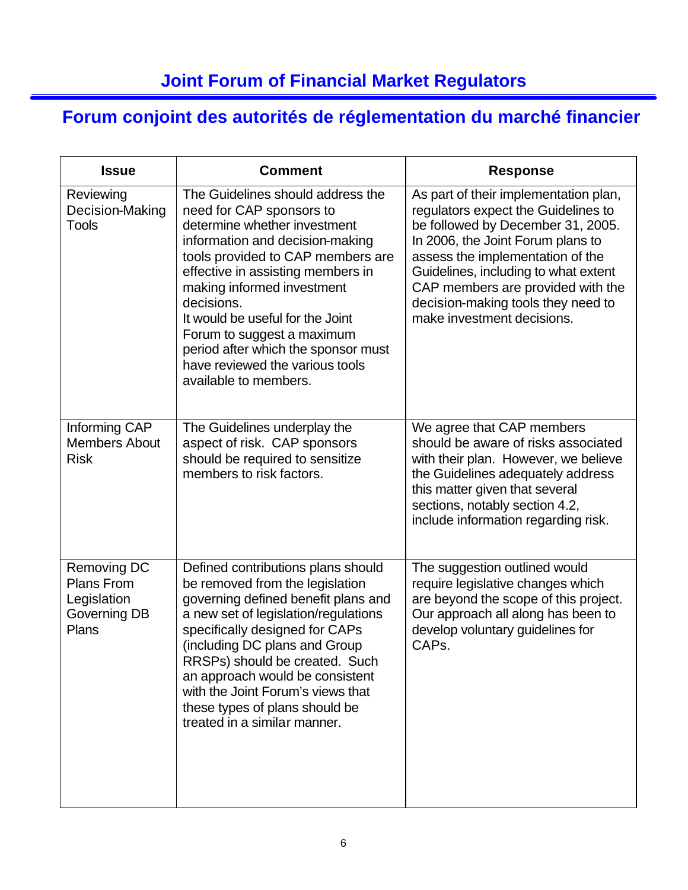| <b>Issue</b>                                                                    | <b>Comment</b>                                                                                                                                                                                                                                                                                                                                                                                                              | <b>Response</b>                                                                                                                                                                                                                                                                                                                             |
|---------------------------------------------------------------------------------|-----------------------------------------------------------------------------------------------------------------------------------------------------------------------------------------------------------------------------------------------------------------------------------------------------------------------------------------------------------------------------------------------------------------------------|---------------------------------------------------------------------------------------------------------------------------------------------------------------------------------------------------------------------------------------------------------------------------------------------------------------------------------------------|
| Reviewing<br>Decision-Making<br>Tools                                           | The Guidelines should address the<br>need for CAP sponsors to<br>determine whether investment<br>information and decision-making<br>tools provided to CAP members are<br>effective in assisting members in<br>making informed investment<br>decisions.<br>It would be useful for the Joint<br>Forum to suggest a maximum<br>period after which the sponsor must<br>have reviewed the various tools<br>available to members. | As part of their implementation plan,<br>regulators expect the Guidelines to<br>be followed by December 31, 2005.<br>In 2006, the Joint Forum plans to<br>assess the implementation of the<br>Guidelines, including to what extent<br>CAP members are provided with the<br>decision-making tools they need to<br>make investment decisions. |
| Informing CAP<br><b>Members About</b><br><b>Risk</b>                            | The Guidelines underplay the<br>aspect of risk. CAP sponsors<br>should be required to sensitize<br>members to risk factors.                                                                                                                                                                                                                                                                                                 | We agree that CAP members<br>should be aware of risks associated<br>with their plan. However, we believe<br>the Guidelines adequately address<br>this matter given that several<br>sections, notably section 4.2,<br>include information regarding risk.                                                                                    |
| <b>Removing DC</b><br><b>Plans From</b><br>Legislation<br>Governing DB<br>Plans | Defined contributions plans should<br>be removed from the legislation<br>governing defined benefit plans and<br>a new set of legislation/regulations<br>specifically designed for CAPs<br>(including DC plans and Group<br>RRSPs) should be created. Such<br>an approach would be consistent<br>with the Joint Forum's views that<br>these types of plans should be<br>treated in a similar manner.                         | The suggestion outlined would<br>require legislative changes which<br>are beyond the scope of this project.<br>Our approach all along has been to<br>develop voluntary guidelines for<br>CAP <sub>s</sub> .                                                                                                                                 |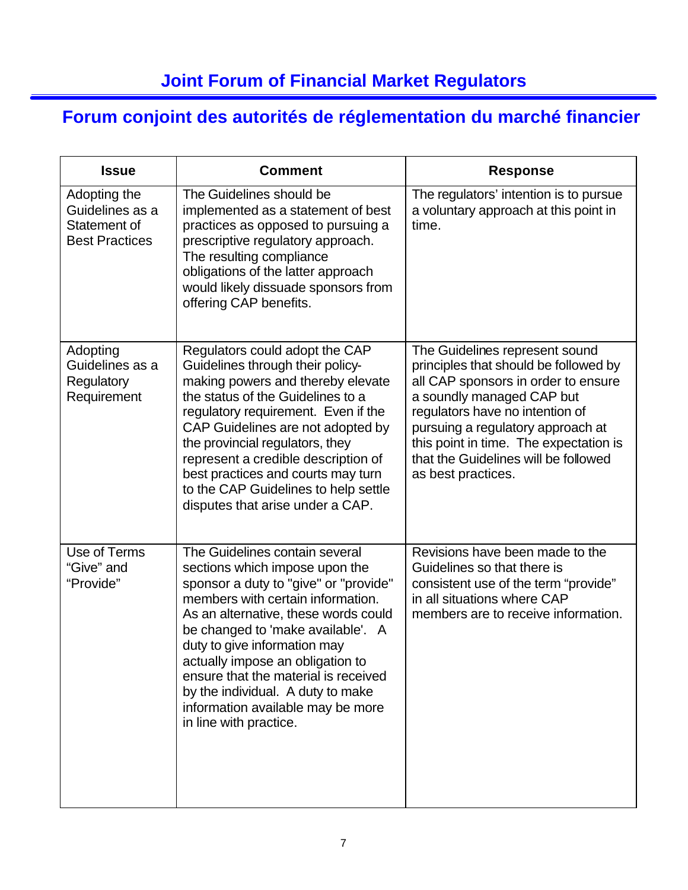| <b>Issue</b>                                                             | <b>Comment</b>                                                                                                                                                                                                                                                                                                                                                                                                                              | <b>Response</b>                                                                                                                                                                                                                                                                                                             |
|--------------------------------------------------------------------------|---------------------------------------------------------------------------------------------------------------------------------------------------------------------------------------------------------------------------------------------------------------------------------------------------------------------------------------------------------------------------------------------------------------------------------------------|-----------------------------------------------------------------------------------------------------------------------------------------------------------------------------------------------------------------------------------------------------------------------------------------------------------------------------|
| Adopting the<br>Guidelines as a<br>Statement of<br><b>Best Practices</b> | The Guidelines should be<br>implemented as a statement of best<br>practices as opposed to pursuing a<br>prescriptive regulatory approach.<br>The resulting compliance<br>obligations of the latter approach<br>would likely dissuade sponsors from<br>offering CAP benefits.                                                                                                                                                                | The regulators' intention is to pursue<br>a voluntary approach at this point in<br>time.                                                                                                                                                                                                                                    |
| Adopting<br>Guidelines as a<br>Regulatory<br>Requirement                 | Regulators could adopt the CAP<br>Guidelines through their policy-<br>making powers and thereby elevate<br>the status of the Guidelines to a<br>regulatory requirement. Even if the<br>CAP Guidelines are not adopted by<br>the provincial regulators, they<br>represent a credible description of<br>best practices and courts may turn<br>to the CAP Guidelines to help settle<br>disputes that arise under a CAP.                        | The Guidelines represent sound<br>principles that should be followed by<br>all CAP sponsors in order to ensure<br>a soundly managed CAP but<br>regulators have no intention of<br>pursuing a regulatory approach at<br>this point in time. The expectation is<br>that the Guidelines will be followed<br>as best practices. |
| Use of Terms<br>"Give" and<br>"Provide"                                  | The Guidelines contain several<br>sections which impose upon the<br>sponsor a duty to "give" or "provide"<br>members with certain information.<br>As an alternative, these words could<br>be changed to 'make available'. A<br>duty to give information may<br>actually impose an obligation to<br>ensure that the material is received<br>by the individual. A duty to make<br>information available may be more<br>in line with practice. | Revisions have been made to the<br>Guidelines so that there is<br>consistent use of the term "provide"<br>in all situations where CAP<br>members are to receive information.                                                                                                                                                |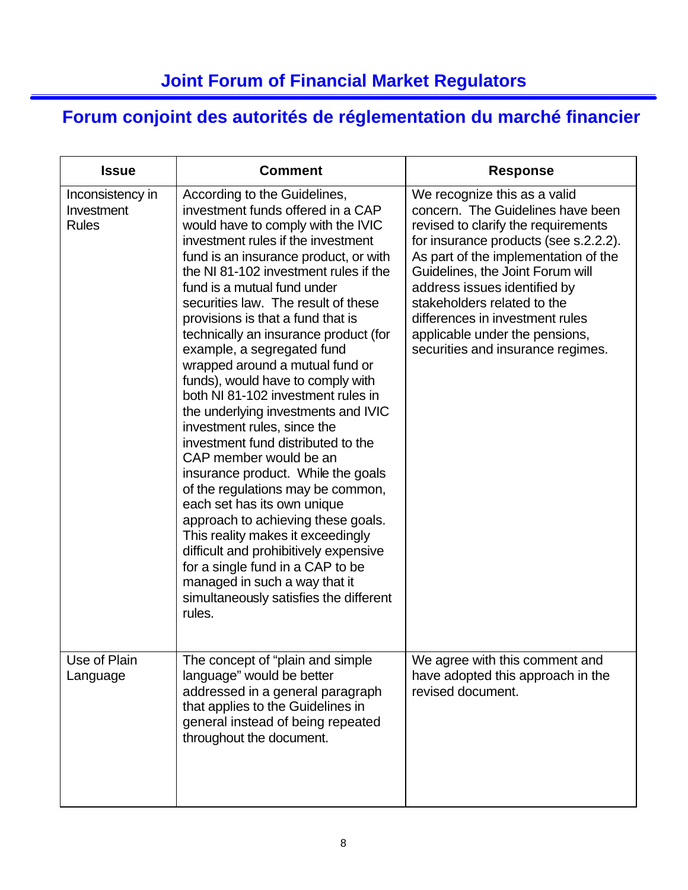| <b>Issue</b>                                   | <b>Comment</b>                                                                                                                                                                                                                                                                                                                                                                                                                                                                                                                                                                                                                                                                                                                                                                                                                                                                                                                                                                                                               | <b>Response</b>                                                                                                                                                                                                                                                                                                                                                                                        |
|------------------------------------------------|------------------------------------------------------------------------------------------------------------------------------------------------------------------------------------------------------------------------------------------------------------------------------------------------------------------------------------------------------------------------------------------------------------------------------------------------------------------------------------------------------------------------------------------------------------------------------------------------------------------------------------------------------------------------------------------------------------------------------------------------------------------------------------------------------------------------------------------------------------------------------------------------------------------------------------------------------------------------------------------------------------------------------|--------------------------------------------------------------------------------------------------------------------------------------------------------------------------------------------------------------------------------------------------------------------------------------------------------------------------------------------------------------------------------------------------------|
| Inconsistency in<br>Investment<br><b>Rules</b> | According to the Guidelines,<br>investment funds offered in a CAP<br>would have to comply with the IVIC<br>investment rules if the investment<br>fund is an insurance product, or with<br>the NI 81-102 investment rules if the<br>fund is a mutual fund under<br>securities law. The result of these<br>provisions is that a fund that is<br>technically an insurance product (for<br>example, a segregated fund<br>wrapped around a mutual fund or<br>funds), would have to comply with<br>both NI 81-102 investment rules in<br>the underlying investments and IVIC<br>investment rules, since the<br>investment fund distributed to the<br>CAP member would be an<br>insurance product. While the goals<br>of the regulations may be common,<br>each set has its own unique<br>approach to achieving these goals.<br>This reality makes it exceedingly<br>difficult and prohibitively expensive<br>for a single fund in a CAP to be<br>managed in such a way that it<br>simultaneously satisfies the different<br>rules. | We recognize this as a valid<br>concern. The Guidelines have been<br>revised to clarify the requirements<br>for insurance products (see s.2.2.2).<br>As part of the implementation of the<br>Guidelines, the Joint Forum will<br>address issues identified by<br>stakeholders related to the<br>differences in investment rules<br>applicable under the pensions,<br>securities and insurance regimes. |
| Use of Plain<br>Language                       | The concept of "plain and simple<br>language" would be better<br>addressed in a general paragraph<br>that applies to the Guidelines in<br>general instead of being repeated<br>throughout the document.                                                                                                                                                                                                                                                                                                                                                                                                                                                                                                                                                                                                                                                                                                                                                                                                                      | We agree with this comment and<br>have adopted this approach in the<br>revised document.                                                                                                                                                                                                                                                                                                               |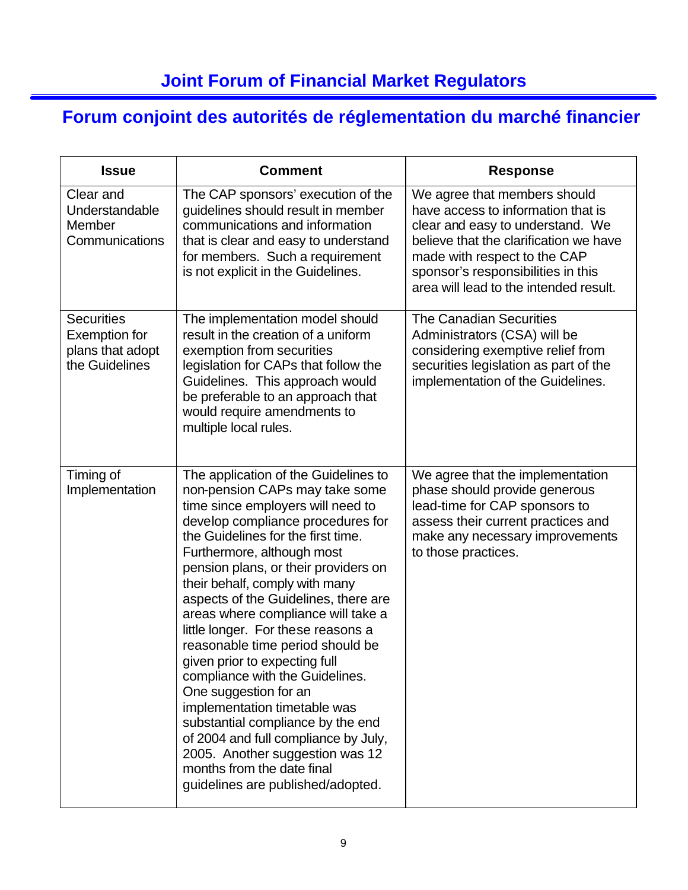| <b>Issue</b>                                                                    | <b>Comment</b>                                                                                                                                                                                                                                                                                                                                                                                                                                                                                                                                                                                                                                                                                                                                                         | <b>Response</b>                                                                                                                                                                                                                                                  |
|---------------------------------------------------------------------------------|------------------------------------------------------------------------------------------------------------------------------------------------------------------------------------------------------------------------------------------------------------------------------------------------------------------------------------------------------------------------------------------------------------------------------------------------------------------------------------------------------------------------------------------------------------------------------------------------------------------------------------------------------------------------------------------------------------------------------------------------------------------------|------------------------------------------------------------------------------------------------------------------------------------------------------------------------------------------------------------------------------------------------------------------|
| Clear and<br>Understandable<br>Member<br>Communications                         | The CAP sponsors' execution of the<br>guidelines should result in member<br>communications and information<br>that is clear and easy to understand<br>for members. Such a requirement<br>is not explicit in the Guidelines.                                                                                                                                                                                                                                                                                                                                                                                                                                                                                                                                            | We agree that members should<br>have access to information that is<br>clear and easy to understand. We<br>believe that the clarification we have<br>made with respect to the CAP<br>sponsor's responsibilities in this<br>area will lead to the intended result. |
| <b>Securities</b><br><b>Exemption for</b><br>plans that adopt<br>the Guidelines | The implementation model should<br>result in the creation of a uniform<br>exemption from securities<br>legislation for CAPs that follow the<br>Guidelines. This approach would<br>be preferable to an approach that<br>would require amendments to<br>multiple local rules.                                                                                                                                                                                                                                                                                                                                                                                                                                                                                            | <b>The Canadian Securities</b><br>Administrators (CSA) will be<br>considering exemptive relief from<br>securities legislation as part of the<br>implementation of the Guidelines.                                                                                |
| Timing of<br>Implementation                                                     | The application of the Guidelines to<br>non-pension CAPs may take some<br>time since employers will need to<br>develop compliance procedures for<br>the Guidelines for the first time.<br>Furthermore, although most<br>pension plans, or their providers on<br>their behalf, comply with many<br>aspects of the Guidelines, there are<br>areas where compliance will take a<br>little longer. For these reasons a<br>reasonable time period should be<br>given prior to expecting full<br>compliance with the Guidelines.<br>One suggestion for an<br>implementation timetable was<br>substantial compliance by the end<br>of 2004 and full compliance by July,<br>2005. Another suggestion was 12<br>months from the date final<br>guidelines are published/adopted. | We agree that the implementation<br>phase should provide generous<br>lead-time for CAP sponsors to<br>assess their current practices and<br>make any necessary improvements<br>to those practices.                                                               |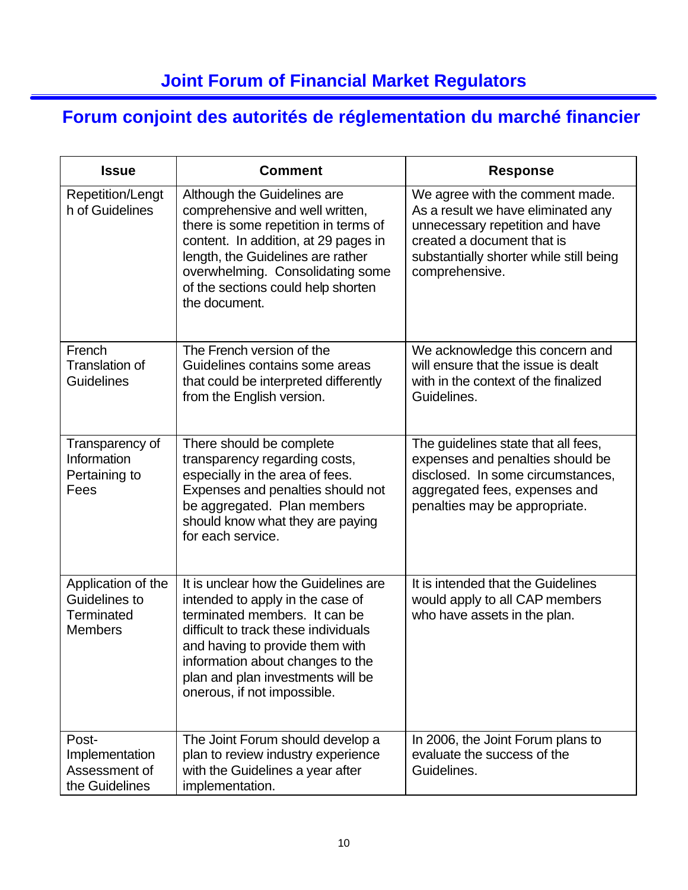| <b>Issue</b>                                                        | <b>Comment</b>                                                                                                                                                                                                                                                                               | <b>Response</b>                                                                                                                                                                                     |
|---------------------------------------------------------------------|----------------------------------------------------------------------------------------------------------------------------------------------------------------------------------------------------------------------------------------------------------------------------------------------|-----------------------------------------------------------------------------------------------------------------------------------------------------------------------------------------------------|
| Repetition/Lengt<br>h of Guidelines                                 | Although the Guidelines are<br>comprehensive and well written,<br>there is some repetition in terms of<br>content. In addition, at 29 pages in<br>length, the Guidelines are rather<br>overwhelming. Consolidating some<br>of the sections could help shorten<br>the document.               | We agree with the comment made.<br>As a result we have eliminated any<br>unnecessary repetition and have<br>created a document that is<br>substantially shorter while still being<br>comprehensive. |
| French<br><b>Translation of</b><br><b>Guidelines</b>                | The French version of the<br>Guidelines contains some areas<br>that could be interpreted differently<br>from the English version.                                                                                                                                                            | We acknowledge this concern and<br>will ensure that the issue is dealt<br>with in the context of the finalized<br>Guidelines.                                                                       |
| Transparency of<br>Information<br>Pertaining to<br>Fees             | There should be complete<br>transparency regarding costs,<br>especially in the area of fees.<br>Expenses and penalties should not<br>be aggregated. Plan members<br>should know what they are paying<br>for each service.                                                                    | The guidelines state that all fees,<br>expenses and penalties should be<br>disclosed. In some circumstances,<br>aggregated fees, expenses and<br>penalties may be appropriate.                      |
| Application of the<br>Guidelines to<br>Terminated<br><b>Members</b> | It is unclear how the Guidelines are<br>intended to apply in the case of<br>terminated members. It can be<br>difficult to track these individuals<br>and having to provide them with<br>information about changes to the<br>plan and plan investments will be<br>onerous, if not impossible. | It is intended that the Guidelines<br>would apply to all CAP members<br>who have assets in the plan.                                                                                                |
| Post-<br>Implementation<br>Assessment of<br>the Guidelines          | The Joint Forum should develop a<br>plan to review industry experience<br>with the Guidelines a year after<br>implementation.                                                                                                                                                                | In 2006, the Joint Forum plans to<br>evaluate the success of the<br>Guidelines.                                                                                                                     |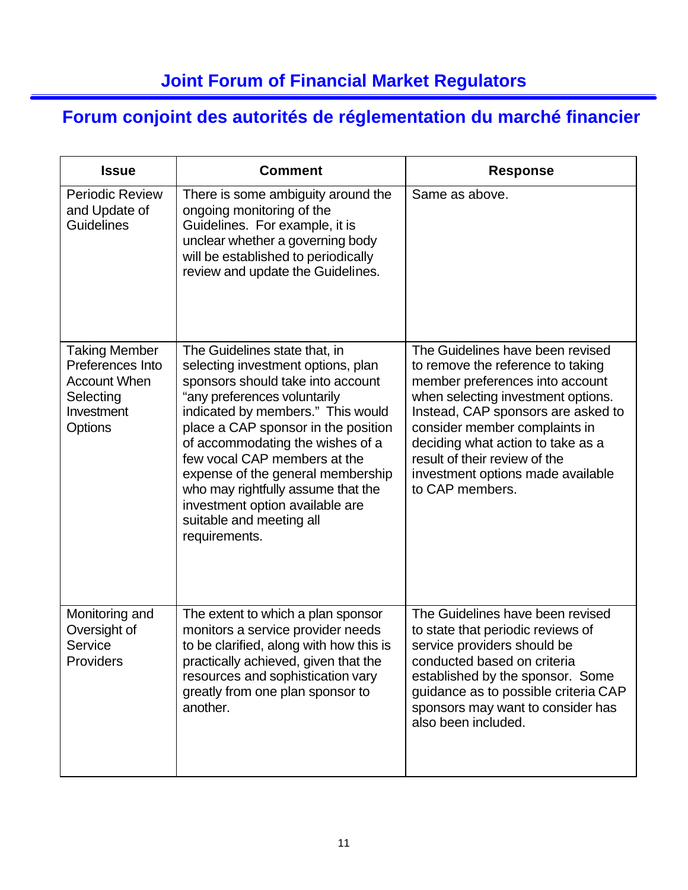| <b>Issue</b>                                                                                          | <b>Comment</b>                                                                                                                                                                                                                                                                                                                                                                                                                                      | <b>Response</b>                                                                                                                                                                                                                                                                                                                                     |
|-------------------------------------------------------------------------------------------------------|-----------------------------------------------------------------------------------------------------------------------------------------------------------------------------------------------------------------------------------------------------------------------------------------------------------------------------------------------------------------------------------------------------------------------------------------------------|-----------------------------------------------------------------------------------------------------------------------------------------------------------------------------------------------------------------------------------------------------------------------------------------------------------------------------------------------------|
| <b>Periodic Review</b><br>and Update of<br><b>Guidelines</b>                                          | There is some ambiguity around the<br>ongoing monitoring of the<br>Guidelines. For example, it is<br>unclear whether a governing body<br>will be established to periodically<br>review and update the Guidelines.                                                                                                                                                                                                                                   | Same as above.                                                                                                                                                                                                                                                                                                                                      |
| <b>Taking Member</b><br>Preferences Into<br><b>Account When</b><br>Selecting<br>Investment<br>Options | The Guidelines state that, in<br>selecting investment options, plan<br>sponsors should take into account<br>"any preferences voluntarily<br>indicated by members." This would<br>place a CAP sponsor in the position<br>of accommodating the wishes of a<br>few vocal CAP members at the<br>expense of the general membership<br>who may rightfully assume that the<br>investment option available are<br>suitable and meeting all<br>requirements. | The Guidelines have been revised<br>to remove the reference to taking<br>member preferences into account<br>when selecting investment options.<br>Instead, CAP sponsors are asked to<br>consider member complaints in<br>deciding what action to take as a<br>result of their review of the<br>investment options made available<br>to CAP members. |
| Monitoring and<br>Oversight of<br>Service<br>Providers                                                | The extent to which a plan sponsor<br>monitors a service provider needs<br>to be clarified, along with how this is<br>practically achieved, given that the<br>resources and sophistication vary<br>greatly from one plan sponsor to<br>another.                                                                                                                                                                                                     | The Guidelines have been revised<br>to state that periodic reviews of<br>service providers should be<br>conducted based on criteria<br>established by the sponsor. Some<br>guidance as to possible criteria CAP<br>sponsors may want to consider has<br>also been included.                                                                         |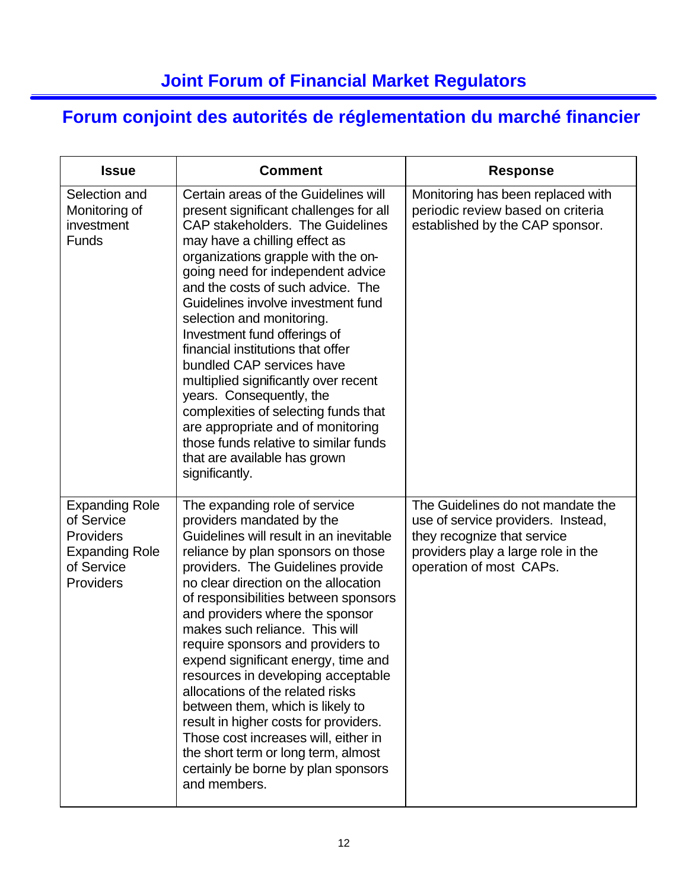| <b>Issue</b>                                                                                         | <b>Comment</b>                                                                                                                                                                                                                                                                                                                                                                                                                                                                                                                                                                                                                                                                                                 | <b>Response</b>                                                                                                                                                         |
|------------------------------------------------------------------------------------------------------|----------------------------------------------------------------------------------------------------------------------------------------------------------------------------------------------------------------------------------------------------------------------------------------------------------------------------------------------------------------------------------------------------------------------------------------------------------------------------------------------------------------------------------------------------------------------------------------------------------------------------------------------------------------------------------------------------------------|-------------------------------------------------------------------------------------------------------------------------------------------------------------------------|
| Selection and<br>Monitoring of<br>investment<br><b>Funds</b>                                         | Certain areas of the Guidelines will<br>present significant challenges for all<br><b>CAP stakeholders. The Guidelines</b><br>may have a chilling effect as<br>organizations grapple with the on-<br>going need for independent advice<br>and the costs of such advice. The<br>Guidelines involve investment fund<br>selection and monitoring.<br>Investment fund offerings of<br>financial institutions that offer<br>bundled CAP services have<br>multiplied significantly over recent<br>years. Consequently, the<br>complexities of selecting funds that<br>are appropriate and of monitoring<br>those funds relative to similar funds<br>that are available has grown<br>significantly.                    | Monitoring has been replaced with<br>periodic review based on criteria<br>established by the CAP sponsor.                                                               |
| <b>Expanding Role</b><br>of Service<br>Providers<br><b>Expanding Role</b><br>of Service<br>Providers | The expanding role of service<br>providers mandated by the<br>Guidelines will result in an inevitable<br>reliance by plan sponsors on those<br>providers. The Guidelines provide<br>no clear direction on the allocation<br>of responsibilities between sponsors<br>and providers where the sponsor<br>makes such reliance. This will<br>require sponsors and providers to<br>expend significant energy, time and<br>resources in developing acceptable<br>allocations of the related risks<br>between them, which is likely to<br>result in higher costs for providers.<br>Those cost increases will, either in<br>the short term or long term, almost<br>certainly be borne by plan sponsors<br>and members. | The Guidelines do not mandate the<br>use of service providers. Instead,<br>they recognize that service<br>providers play a large role in the<br>operation of most CAPs. |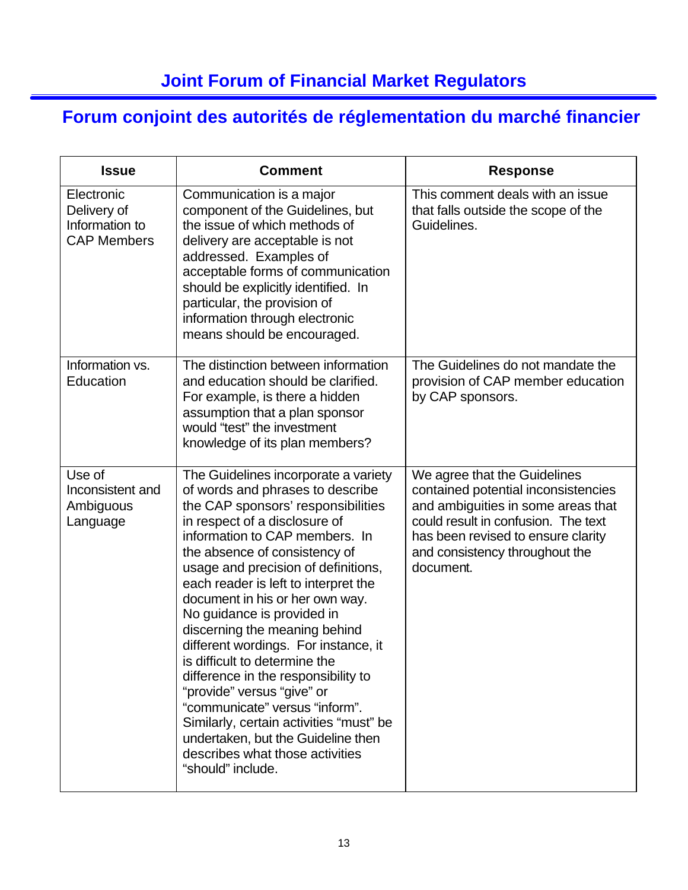| <b>Issue</b>                                                      | <b>Comment</b>                                                                                                                                                                                                                                                                                                                                                                                                                                                                                                                                                                                                                                                                                                               | <b>Response</b>                                                                                                                                                                                                                       |
|-------------------------------------------------------------------|------------------------------------------------------------------------------------------------------------------------------------------------------------------------------------------------------------------------------------------------------------------------------------------------------------------------------------------------------------------------------------------------------------------------------------------------------------------------------------------------------------------------------------------------------------------------------------------------------------------------------------------------------------------------------------------------------------------------------|---------------------------------------------------------------------------------------------------------------------------------------------------------------------------------------------------------------------------------------|
| Electronic<br>Delivery of<br>Information to<br><b>CAP Members</b> | Communication is a major<br>component of the Guidelines, but<br>the issue of which methods of<br>delivery are acceptable is not<br>addressed. Examples of<br>acceptable forms of communication<br>should be explicitly identified. In<br>particular, the provision of<br>information through electronic<br>means should be encouraged.                                                                                                                                                                                                                                                                                                                                                                                       | This comment deals with an issue<br>that falls outside the scope of the<br>Guidelines.                                                                                                                                                |
| Information vs.<br>Education                                      | The distinction between information<br>and education should be clarified.<br>For example, is there a hidden<br>assumption that a plan sponsor<br>would "test" the investment<br>knowledge of its plan members?                                                                                                                                                                                                                                                                                                                                                                                                                                                                                                               | The Guidelines do not mandate the<br>provision of CAP member education<br>by CAP sponsors.                                                                                                                                            |
| Use of<br>Inconsistent and<br>Ambiguous<br>Language               | The Guidelines incorporate a variety<br>of words and phrases to describe<br>the CAP sponsors' responsibilities<br>in respect of a disclosure of<br>information to CAP members. In<br>the absence of consistency of<br>usage and precision of definitions,<br>each reader is left to interpret the<br>document in his or her own way.<br>No guidance is provided in<br>discerning the meaning behind<br>different wordings. For instance, it<br>is difficult to determine the<br>difference in the responsibility to<br>"provide" versus "give" or<br>"communicate" versus "inform".<br>Similarly, certain activities "must" be<br>undertaken, but the Guideline then<br>describes what those activities<br>"should" include. | We agree that the Guidelines<br>contained potential inconsistencies<br>and ambiguities in some areas that<br>could result in confusion. The text<br>has been revised to ensure clarity<br>and consistency throughout the<br>document. |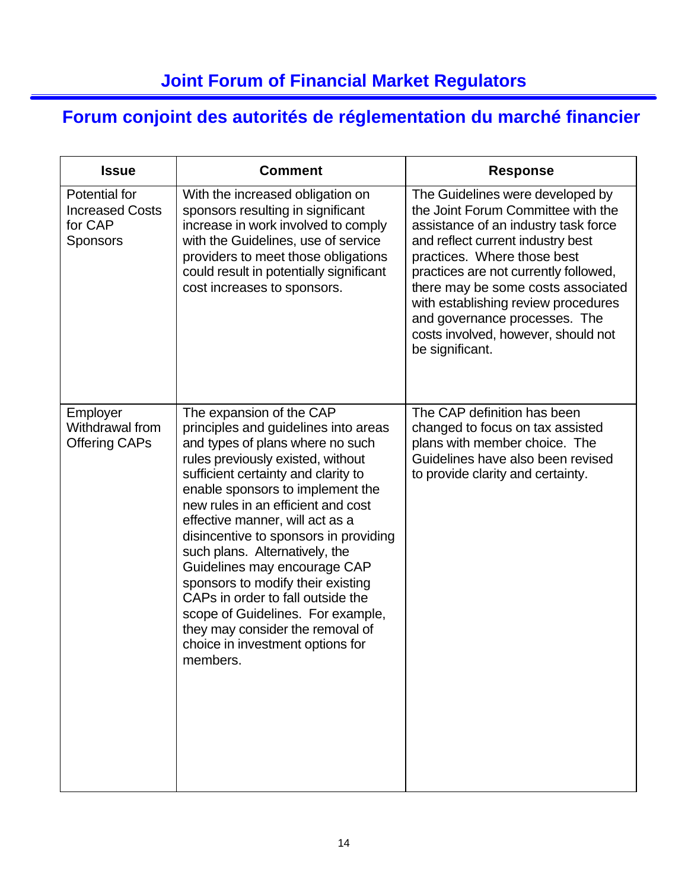| <b>Issue</b>                                                          | <b>Comment</b>                                                                                                                                                                                                                                                                                                                                                                                                                                                                                                                                                                                              | <b>Response</b>                                                                                                                                                                                                                                                                                                                                                                                     |
|-----------------------------------------------------------------------|-------------------------------------------------------------------------------------------------------------------------------------------------------------------------------------------------------------------------------------------------------------------------------------------------------------------------------------------------------------------------------------------------------------------------------------------------------------------------------------------------------------------------------------------------------------------------------------------------------------|-----------------------------------------------------------------------------------------------------------------------------------------------------------------------------------------------------------------------------------------------------------------------------------------------------------------------------------------------------------------------------------------------------|
| Potential for<br><b>Increased Costs</b><br>for CAP<br><b>Sponsors</b> | With the increased obligation on<br>sponsors resulting in significant<br>increase in work involved to comply<br>with the Guidelines, use of service<br>providers to meet those obligations<br>could result in potentially significant<br>cost increases to sponsors.                                                                                                                                                                                                                                                                                                                                        | The Guidelines were developed by<br>the Joint Forum Committee with the<br>assistance of an industry task force<br>and reflect current industry best<br>practices. Where those best<br>practices are not currently followed,<br>there may be some costs associated<br>with establishing review procedures<br>and governance processes. The<br>costs involved, however, should not<br>be significant. |
| Employer<br>Withdrawal from<br><b>Offering CAPs</b>                   | The expansion of the CAP<br>principles and guidelines into areas<br>and types of plans where no such<br>rules previously existed, without<br>sufficient certainty and clarity to<br>enable sponsors to implement the<br>new rules in an efficient and cost<br>effective manner, will act as a<br>disincentive to sponsors in providing<br>such plans. Alternatively, the<br>Guidelines may encourage CAP<br>sponsors to modify their existing<br>CAPs in order to fall outside the<br>scope of Guidelines. For example,<br>they may consider the removal of<br>choice in investment options for<br>members. | The CAP definition has been<br>changed to focus on tax assisted<br>plans with member choice. The<br>Guidelines have also been revised<br>to provide clarity and certainty.                                                                                                                                                                                                                          |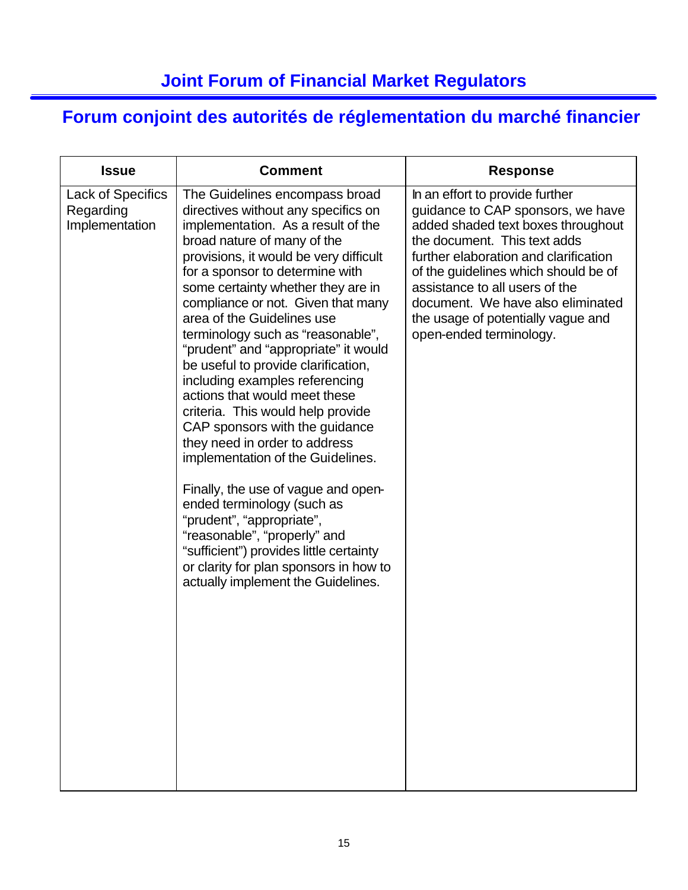| <b>Issue</b>                                            | <b>Comment</b>                                                                                                                                                                                                                                                                                                                                                                                                                                                                                                                                                                                                                                                                                                                                                                                                                                                                                                                     | <b>Response</b>                                                                                                                                                                                                                                                                                                                                                     |
|---------------------------------------------------------|------------------------------------------------------------------------------------------------------------------------------------------------------------------------------------------------------------------------------------------------------------------------------------------------------------------------------------------------------------------------------------------------------------------------------------------------------------------------------------------------------------------------------------------------------------------------------------------------------------------------------------------------------------------------------------------------------------------------------------------------------------------------------------------------------------------------------------------------------------------------------------------------------------------------------------|---------------------------------------------------------------------------------------------------------------------------------------------------------------------------------------------------------------------------------------------------------------------------------------------------------------------------------------------------------------------|
| <b>Lack of Specifics</b><br>Regarding<br>Implementation | The Guidelines encompass broad<br>directives without any specifics on<br>implementation. As a result of the<br>broad nature of many of the<br>provisions, it would be very difficult<br>for a sponsor to determine with<br>some certainty whether they are in<br>compliance or not. Given that many<br>area of the Guidelines use<br>terminology such as "reasonable",<br>"prudent" and "appropriate" it would<br>be useful to provide clarification,<br>including examples referencing<br>actions that would meet these<br>criteria. This would help provide<br>CAP sponsors with the guidance<br>they need in order to address<br>implementation of the Guidelines.<br>Finally, the use of vague and open-<br>ended terminology (such as<br>"prudent", "appropriate",<br>"reasonable", "properly" and<br>"sufficient") provides little certainty<br>or clarity for plan sponsors in how to<br>actually implement the Guidelines. | In an effort to provide further<br>guidance to CAP sponsors, we have<br>added shaded text boxes throughout<br>the document. This text adds<br>further elaboration and clarification<br>of the guidelines which should be of<br>assistance to all users of the<br>document. We have also eliminated<br>the usage of potentially vague and<br>open-ended terminology. |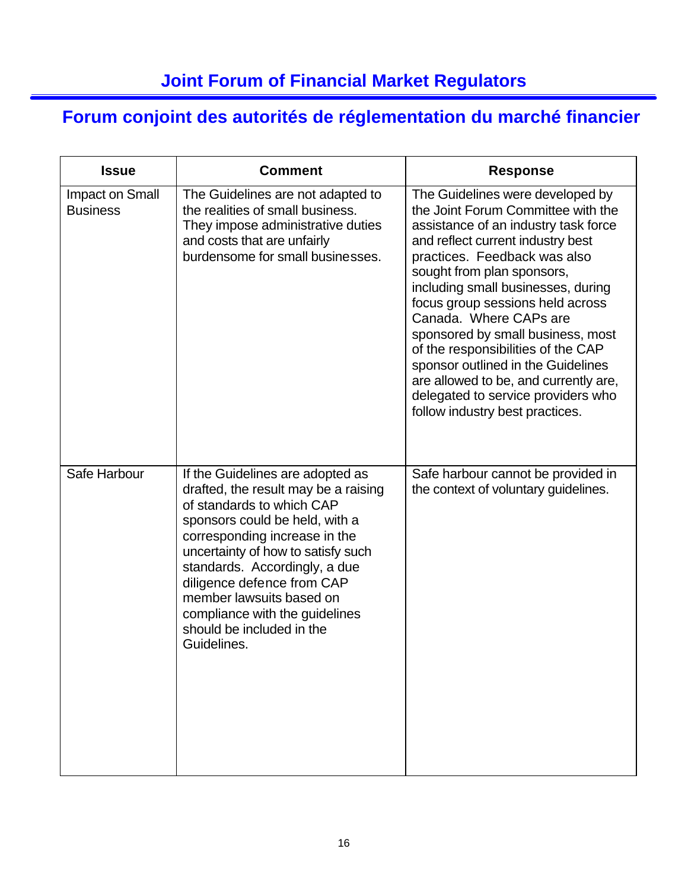| <b>Issue</b>                       | <b>Comment</b>                                                                                                                                                                                                                                                                                                                                                                          | <b>Response</b>                                                                                                                                                                                                                                                                                                                                                                                                                                                                                                                                          |
|------------------------------------|-----------------------------------------------------------------------------------------------------------------------------------------------------------------------------------------------------------------------------------------------------------------------------------------------------------------------------------------------------------------------------------------|----------------------------------------------------------------------------------------------------------------------------------------------------------------------------------------------------------------------------------------------------------------------------------------------------------------------------------------------------------------------------------------------------------------------------------------------------------------------------------------------------------------------------------------------------------|
| Impact on Small<br><b>Business</b> | The Guidelines are not adapted to<br>the realities of small business.<br>They impose administrative duties<br>and costs that are unfairly<br>burdensome for small businesses.                                                                                                                                                                                                           | The Guidelines were developed by<br>the Joint Forum Committee with the<br>assistance of an industry task force<br>and reflect current industry best<br>practices. Feedback was also<br>sought from plan sponsors,<br>including small businesses, during<br>focus group sessions held across<br>Canada. Where CAPs are<br>sponsored by small business, most<br>of the responsibilities of the CAP<br>sponsor outlined in the Guidelines<br>are allowed to be, and currently are,<br>delegated to service providers who<br>follow industry best practices. |
| Safe Harbour                       | If the Guidelines are adopted as<br>drafted, the result may be a raising<br>of standards to which CAP<br>sponsors could be held, with a<br>corresponding increase in the<br>uncertainty of how to satisfy such<br>standards. Accordingly, a due<br>diligence defence from CAP<br>member lawsuits based on<br>compliance with the guidelines<br>should be included in the<br>Guidelines. | Safe harbour cannot be provided in<br>the context of voluntary guidelines.                                                                                                                                                                                                                                                                                                                                                                                                                                                                               |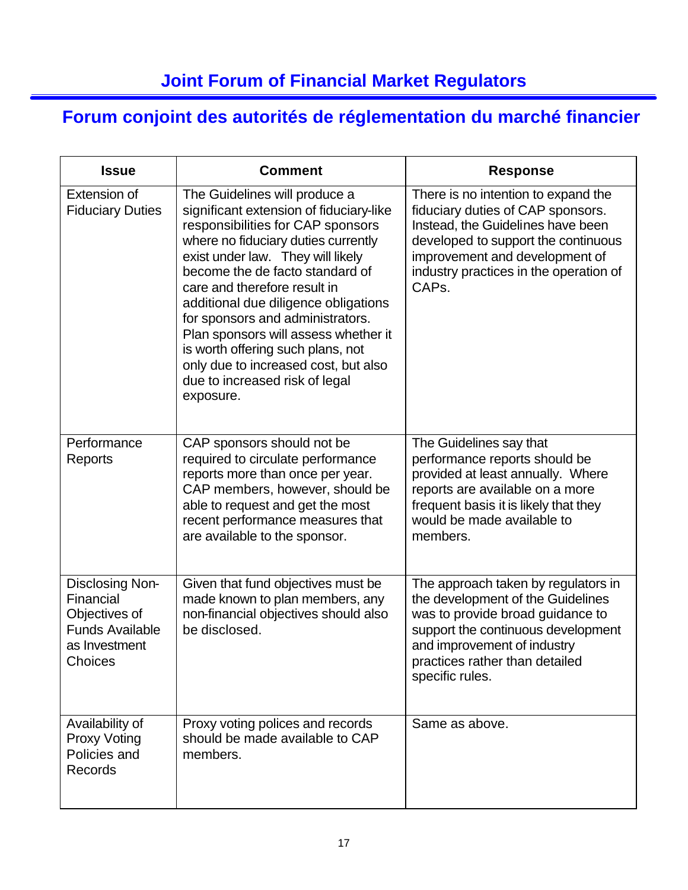| <b>Issue</b>                                                                                        | <b>Comment</b>                                                                                                                                                                                                                                                                                                                                                                                                                                                                                               | <b>Response</b>                                                                                                                                                                                                                                        |
|-----------------------------------------------------------------------------------------------------|--------------------------------------------------------------------------------------------------------------------------------------------------------------------------------------------------------------------------------------------------------------------------------------------------------------------------------------------------------------------------------------------------------------------------------------------------------------------------------------------------------------|--------------------------------------------------------------------------------------------------------------------------------------------------------------------------------------------------------------------------------------------------------|
| Extension of<br><b>Fiduciary Duties</b>                                                             | The Guidelines will produce a<br>significant extension of fiduciary-like<br>responsibilities for CAP sponsors<br>where no fiduciary duties currently<br>exist under law. They will likely<br>become the de facto standard of<br>care and therefore result in<br>additional due diligence obligations<br>for sponsors and administrators.<br>Plan sponsors will assess whether it<br>is worth offering such plans, not<br>only due to increased cost, but also<br>due to increased risk of legal<br>exposure. | There is no intention to expand the<br>fiduciary duties of CAP sponsors.<br>Instead, the Guidelines have been<br>developed to support the continuous<br>improvement and development of<br>industry practices in the operation of<br>CAP <sub>s</sub> . |
| Performance<br>Reports                                                                              | CAP sponsors should not be<br>required to circulate performance<br>reports more than once per year.<br>CAP members, however, should be<br>able to request and get the most<br>recent performance measures that<br>are available to the sponsor.                                                                                                                                                                                                                                                              | The Guidelines say that<br>performance reports should be<br>provided at least annually. Where<br>reports are available on a more<br>frequent basis it is likely that they<br>would be made available to<br>members.                                    |
| Disclosing Non-<br>Financial<br>Objectives of<br><b>Funds Available</b><br>as Investment<br>Choices | Given that fund objectives must be<br>made known to plan members, any<br>non-financial objectives should also<br>be disclosed.                                                                                                                                                                                                                                                                                                                                                                               | The approach taken by regulators in<br>the development of the Guidelines<br>was to provide broad guidance to<br>support the continuous development<br>and improvement of industry<br>practices rather than detailed<br>specific rules.                 |
| Availability of<br><b>Proxy Voting</b><br>Policies and<br>Records                                   | Proxy voting polices and records<br>should be made available to CAP<br>members.                                                                                                                                                                                                                                                                                                                                                                                                                              | Same as above.                                                                                                                                                                                                                                         |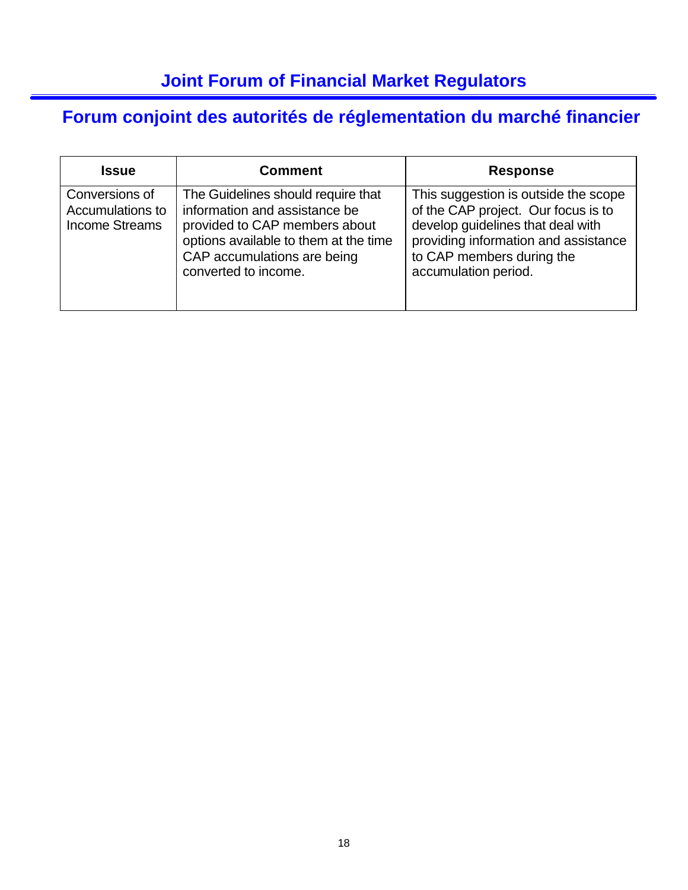| <b>Issue</b>                                                | <b>Comment</b>                                                                                                                                                                                       | <b>Response</b>                                                                                                                                                                                               |
|-------------------------------------------------------------|------------------------------------------------------------------------------------------------------------------------------------------------------------------------------------------------------|---------------------------------------------------------------------------------------------------------------------------------------------------------------------------------------------------------------|
| Conversions of<br>Accumulations to<br><b>Income Streams</b> | The Guidelines should require that<br>information and assistance be<br>provided to CAP members about<br>options available to them at the time<br>CAP accumulations are being<br>converted to income. | This suggestion is outside the scope<br>of the CAP project. Our focus is to<br>develop guidelines that deal with<br>providing information and assistance<br>to CAP members during the<br>accumulation period. |